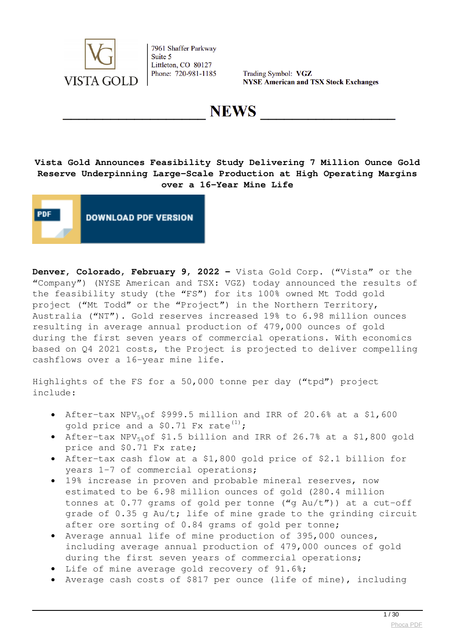

Trading Symbol: VGZ **NYSE American and TSX Stock Exchanges** 

**NEWS** 

## **Vista Gold Announces Feasibility Study Delivering 7 Million Ounce Gold Reserve Underpinning Large-Scale Production at High Operating Margins over a 16-Year Mine Life**



**Denver, Colorado, February 9, 2022 –** Vista Gold Corp. ("Vista" or the "Company") (NYSE American and TSX: VGZ) today announced the results of the feasibility study (the "FS") for its 100% owned Mt Todd gold project ("Mt Todd" or the "Project") in the Northern Territory, Australia ("NT"). Gold reserves increased 19% to 6.98 million ounces resulting in average annual production of 479,000 ounces of gold during the first seven years of commercial operations. With economics based on Q4 2021 costs, the Project is projected to deliver compelling cashflows over a 16-year mine life.

Highlights of the FS for a 50,000 tonne per day ("tpd") project include:

- After-tax NPV<sub>5%</sub>of \$999.5 million and IRR of 20.6% at a \$1,600 gold price and a \$0.71 Fx rate $^{(1)}$ ;
- After-tax NPV $_{58}$ of \$1.5 billion and IRR of 26.7% at a \$1,800 gold price and \$0.71 Fx rate;
- After-tax cash flow at a \$1,800 gold price of \$2.1 billion for years 1-7 of commercial operations;
- 19% increase in proven and probable mineral reserves, now  $\bullet$ estimated to be 6.98 million ounces of gold (280.4 million tonnes at  $0.77$  grams of gold per tonne ("q Au/t")) at a cut-off grade of 0.35 g Au/t; life of mine grade to the grinding circuit after ore sorting of 0.84 grams of gold per tonne;
- Average annual life of mine production of 395,000 ounces, including average annual production of 479,000 ounces of gold during the first seven years of commercial operations;
- Life of mine average gold recovery of 91.6%;
- Average cash costs of \$817 per ounce (life of mine), including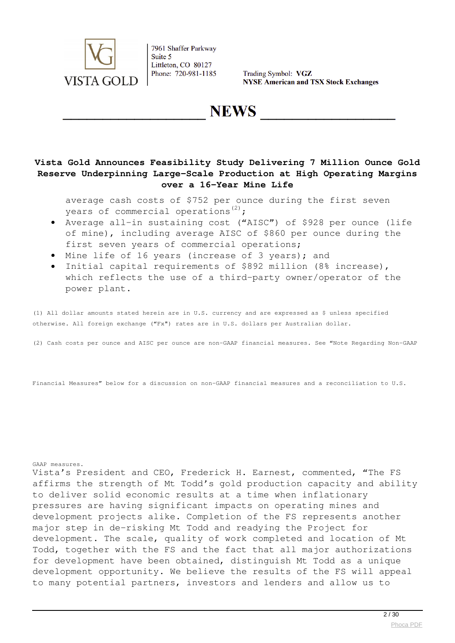

Trading Symbol: VGZ **NYSE American and TSX Stock Exchanges** 

**NEWS** 

## **Vista Gold Announces Feasibility Study Delivering 7 Million Ounce Gold Reserve Underpinning Large-Scale Production at High Operating Margins over a 16-Year Mine Life**

average cash costs of \$752 per ounce during the first seven years of commercial operations $^{(2)}$ ;

- Average all-in sustaining cost ("AISC") of \$928 per ounce (life of mine), including average AISC of \$860 per ounce during the first seven years of commercial operations;
- Mine life of 16 years (increase of 3 years); and
- Initial capital requirements of \$892 million (8% increase), which reflects the use of a third-party owner/operator of the power plant.

(1) All dollar amounts stated herein are in U.S. currency and are expressed as \$ unless specified otherwise. All foreign exchange ("Fx") rates are in U.S. dollars per Australian dollar.

(2) Cash costs per ounce and AISC per ounce are non-GAAP financial measures. See "Note Regarding Non-GAAP

Financial Measures" below for a discussion on non-GAAP financial measures and a reconciliation to U.S.

GAAP measures.

Vista's President and CEO, Frederick H. Earnest, commented, "The FS affirms the strength of Mt Todd's gold production capacity and ability to deliver solid economic results at a time when inflationary pressures are having significant impacts on operating mines and development projects alike. Completion of the FS represents another major step in de-risking Mt Todd and readying the Project for development. The scale, quality of work completed and location of Mt Todd, together with the FS and the fact that all major authorizations for development have been obtained, distinguish Mt Todd as a unique development opportunity. We believe the results of the FS will appeal to many potential partners, investors and lenders and allow us to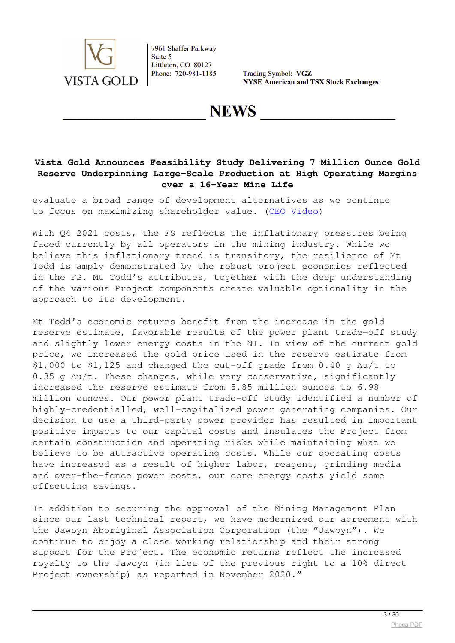

Trading Symbol: VGZ **NYSE American and TSX Stock Exchanges** 

**NEWS** 

## **Vista Gold Announces Feasibility Study Delivering 7 Million Ounce Gold Reserve Underpinning Large-Scale Production at High Operating Margins over a 16-Year Mine Life**

evaluate a broad range of development alternatives as we continue to focus on maximizing shareholder value. [\(CEO Video\)](https://youtu.be/CoucntreCso)

With 04 2021 costs, the FS reflects the inflationary pressures being faced currently by all operators in the mining industry. While we believe this inflationary trend is transitory, the resilience of Mt Todd is amply demonstrated by the robust project economics reflected in the FS. Mt Todd's attributes, together with the deep understanding of the various Project components create valuable optionality in the approach to its development.

Mt Todd's economic returns benefit from the increase in the gold reserve estimate, favorable results of the power plant trade-off study and slightly lower energy costs in the NT. In view of the current gold price, we increased the gold price used in the reserve estimate from \$1,000 to \$1,125 and changed the cut-off grade from 0.40 g Au/t to 0.35 g Au/t. These changes, while very conservative, significantly increased the reserve estimate from 5.85 million ounces to 6.98 million ounces. Our power plant trade-off study identified a number of highly-credentialled, well-capitalized power generating companies. Our decision to use a third-party power provider has resulted in important positive impacts to our capital costs and insulates the Project from certain construction and operating risks while maintaining what we believe to be attractive operating costs. While our operating costs have increased as a result of higher labor, reagent, grinding media and over-the-fence power costs, our core energy costs yield some offsetting savings.

In addition to securing the approval of the Mining Management Plan since our last technical report, we have modernized our agreement with the Jawoyn Aboriginal Association Corporation (the "Jawoyn"). We continue to enjoy a close working relationship and their strong support for the Project. The economic returns reflect the increased royalty to the Jawoyn (in lieu of the previous right to a 10% direct Project ownership) as reported in November 2020."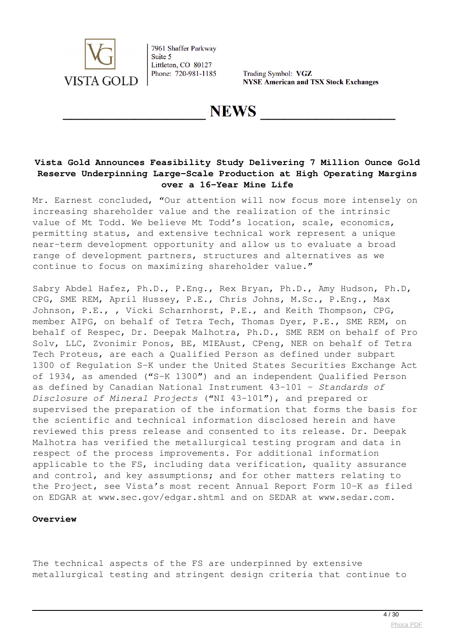

Trading Symbol: VGZ **NYSE American and TSX Stock Exchanges** 

**NEWS** 

## **Vista Gold Announces Feasibility Study Delivering 7 Million Ounce Gold Reserve Underpinning Large-Scale Production at High Operating Margins over a 16-Year Mine Life**

Mr. Earnest concluded, "Our attention will now focus more intensely on increasing shareholder value and the realization of the intrinsic value of Mt Todd. We believe Mt Todd's location, scale, economics, permitting status, and extensive technical work represent a unique near-term development opportunity and allow us to evaluate a broad range of development partners, structures and alternatives as we continue to focus on maximizing shareholder value."

Sabry Abdel Hafez, Ph.D., P.Eng., Rex Bryan, Ph.D., Amy Hudson, Ph.D, CPG, SME REM, April Hussey, P.E., Chris Johns, M.Sc., P.Eng., Max Johnson, P.E., , Vicki Scharnhorst, P.E., and Keith Thompson, CPG, member AIPG, on behalf of Tetra Tech, Thomas Dyer, P.E., SME REM, on behalf of Respec, Dr. Deepak Malhotra, Ph.D., SME REM on behalf of Pro Solv, LLC, Zvonimir Ponos, BE, MIEAust, CPeng, NER on behalf of Tetra Tech Proteus, are each a Qualified Person as defined under subpart 1300 of Regulation S-K under the United States Securities Exchange Act of 1934, as amended ("S-K 1300") and an independent Qualified Person as defined by Canadian National Instrument 43-101 – *Standards of Disclosure of Mineral Projects* ("NI 43-101"), and prepared or supervised the preparation of the information that forms the basis for the scientific and technical information disclosed herein and have reviewed this press release and consented to its release. Dr. Deepak Malhotra has verified the metallurgical testing program and data in respect of the process improvements. For additional information applicable to the FS, including data verification, quality assurance and control, and key assumptions; and for other matters relating to the Project, see Vista's most recent Annual Report Form 10-K as filed on EDGAR at www.sec.gov/edgar.shtml and on SEDAR at www.sedar.com.

#### **Overview**

The technical aspects of the FS are underpinned by extensive metallurgical testing and stringent design criteria that continue to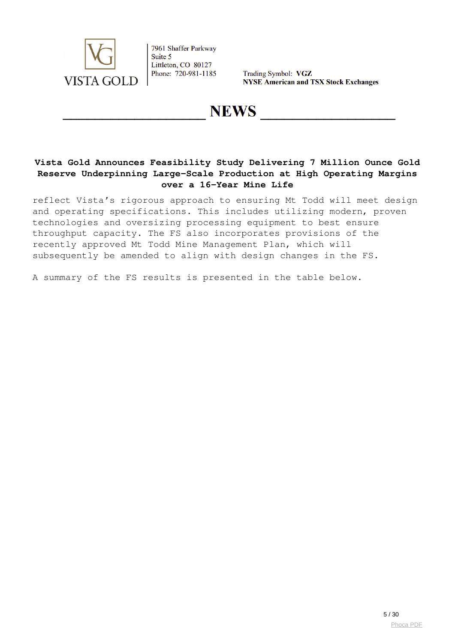

Trading Symbol: VGZ **NYSE American and TSX Stock Exchanges** 

# **NEWS**

## **Vista Gold Announces Feasibility Study Delivering 7 Million Ounce Gold Reserve Underpinning Large-Scale Production at High Operating Margins over a 16-Year Mine Life**

reflect Vista's rigorous approach to ensuring Mt Todd will meet design and operating specifications. This includes utilizing modern, proven technologies and oversizing processing equipment to best ensure throughput capacity. The FS also incorporates provisions of the recently approved Mt Todd Mine Management Plan, which will subsequently be amended to align with design changes in the FS.

A summary of the FS results is presented in the table below.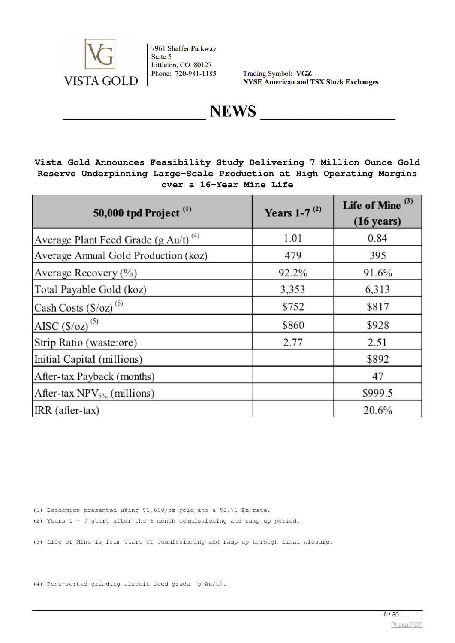

Trading Symbol: VGZ **NYSE American and TSX Stock Exchanges** 

# **NEWS**

## **Vista Gold Announces Feasibility Study Delivering 7 Million Ounce Gold Reserve Underpinning Large-Scale Production at High Operating Margins over a 16-Year Mine Life**

| 50,000 tpd Project <sup>(1)</sup>                | Years 1-7 $^{(2)}$ | Life of Mine <sup>(3)</sup><br>$(16 \text{ years})$ |
|--------------------------------------------------|--------------------|-----------------------------------------------------|
| Average Plant Feed Grade (g Au/t) <sup>(4)</sup> | 1.01               | 0.84                                                |
| Average Annual Gold Production (koz)             | 479                | 395                                                 |
| Average Recovery (%)                             | 92.2%              | 91.6%                                               |
| Total Payable Gold (koz)                         | 3,353              | 6,313                                               |
| Cash Costs $(S/oz)$ <sup>(5)</sup>               | \$752              | \$817                                               |
| AISC $(S/oz)$ <sup>(5)</sup>                     | \$860              | \$928                                               |
| Strip Ratio (waste:ore)                          | 2.77               | 2.51                                                |
| Initial Capital (millions)                       |                    | \$892                                               |
| After-tax Payback (months)                       |                    | 47                                                  |
| After-tax $NPV_{5%}$ (millions)                  |                    | \$999.5                                             |
| $IRR$ (after-tax)                                |                    | 20.6%                                               |

(1) Economics presented using \$1,600/oz gold and a \$0.71 Fx rate.

(2) Years 1 - 7 start after the 6 month commissioning and ramp up period.

(3) Life of Mine is from start of commissioning and ramp up through final closure.

(4) Post-sorted grinding circuit feed grade (g Au/t).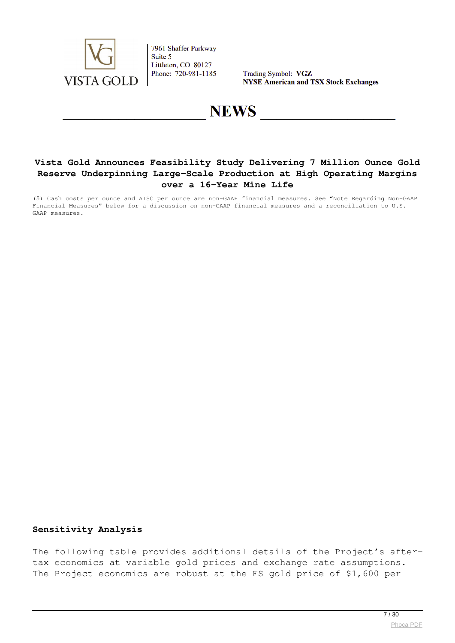

Trading Symbol: VGZ **NYSE American and TSX Stock Exchanges** 

# **NEWS**

## **Vista Gold Announces Feasibility Study Delivering 7 Million Ounce Gold Reserve Underpinning Large-Scale Production at High Operating Margins over a 16-Year Mine Life**

(5) Cash costs per ounce and AISC per ounce are non-GAAP financial measures. See "Note Regarding Non-GAAP Financial Measures" below for a discussion on non-GAAP financial measures and a reconciliation to U.S. GAAP measures.

#### **Sensitivity Analysis**

The following table provides additional details of the Project's aftertax economics at variable gold prices and exchange rate assumptions. The Project economics are robust at the FS gold price of \$1,600 per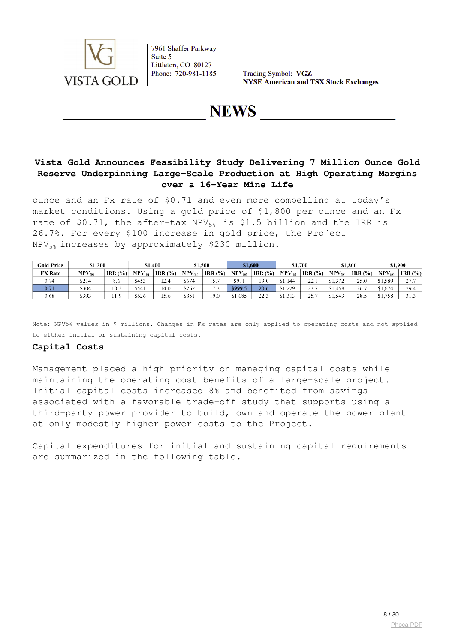

Trading Symbol: VGZ **NYSE American and TSX Stock Exchanges** 

**NEWS** 

## **Vista Gold Announces Feasibility Study Delivering 7 Million Ounce Gold Reserve Underpinning Large-Scale Production at High Operating Margins over a 16-Year Mine Life**

ounce and an Fx rate of \$0.71 and even more compelling at today's market conditions. Using a gold price of \$1,800 per ounce and an Fx rate of \$0.71, the after-tax NPV $_{58}$  is \$1.5 billion and the IRR is 26.7%. For every \$100 increase in gold price, the Project NPV5% increases by approximately \$230 million.

| <b>Gold Price</b> | \$1,300              |            |             | \$1,400      |             | \$1.500 |             | \$1.600    |             | \$1,700     |             | \$1,800     |             | \$1.900     |
|-------------------|----------------------|------------|-------------|--------------|-------------|---------|-------------|------------|-------------|-------------|-------------|-------------|-------------|-------------|
| <b>FX Rate</b>    | $\mathrm{NPV}_{(5)}$ | IRR $(% )$ | $NPV_{(5)}$ | $IRR$ $(\%)$ | $NPV_{(5)}$ | IRR (%) | $NPV_{(5)}$ | IRR $(\%)$ | $NPV_{(5)}$ | IRR $(\%)$  | $NPV_{(5)}$ | $ IRR(\%) $ | $NPV_{(5)}$ | IRR $(\% )$ |
| 0.74              | S214                 | 8.6        | S453        | 12.4         | \$674       |         | \$911       | 19.0       | \$1.144     | 22.         | \$1.372     | 25.0        | \$1,589     | 27.7        |
| 0.71              | \$304                | 10.2       | \$541       | 14.0         | \$762       | 17      | \$999.5     | 20.6       | \$1.229     | วว 7<br>.   | \$1.458     | 26.         | \$1,674     | 29.4        |
| 0.68              | \$393                | . 1.9      | \$626       | 15.6         | \$851       | 19.0    | \$1,085     | 22.3       | \$1,313     | วร ว<br>، ب | \$1.543     | 28.5        | \$1.758     | 31.3        |

Note: NPV5% values in \$ millions. Changes in Fx rates are only applied to operating costs and not applied to either initial or sustaining capital costs.

#### **Capital Costs**

Management placed a high priority on managing capital costs while maintaining the operating cost benefits of a large-scale project. Initial capital costs increased 8% and benefited from savings associated with a favorable trade-off study that supports using a third-party power provider to build, own and operate the power plant at only modestly higher power costs to the Project.

Capital expenditures for initial and sustaining capital requirements are summarized in the following table.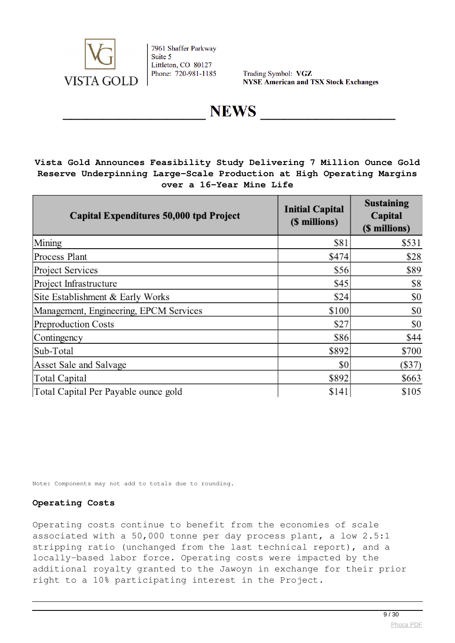

Trading Symbol: VGZ **NYSE American and TSX Stock Exchanges** 

# **NEWS**

## **Vista Gold Announces Feasibility Study Delivering 7 Million Ounce Gold Reserve Underpinning Large-Scale Production at High Operating Margins over a 16-Year Mine Life**

| Capital Expenditures 50,000 tpd Project | <b>Initial Capital</b><br>(\$ millions) | <b>Sustaining</b><br>Capital<br>(\$ millions) |
|-----------------------------------------|-----------------------------------------|-----------------------------------------------|
| Mining                                  | \$81                                    | \$531                                         |
| Process Plant                           | \$474                                   | \$28                                          |
| Project Services                        | \$56                                    | \$89                                          |
| Project Infrastructure                  | \$45                                    | \$8                                           |
| Site Establishment & Early Works        | \$24                                    | \$0                                           |
| Management, Engineering, EPCM Services  | \$100                                   | \$0                                           |
| Preproduction Costs                     | \$27                                    | \$0                                           |
| Contingency                             | \$86                                    | \$44                                          |
| Sub-Total                               | \$892                                   | \$700                                         |
| Asset Sale and Salvage                  | \$0                                     | $(\$37)$                                      |
| Total Capital                           | \$892                                   | \$663                                         |
| Total Capital Per Payable ounce gold    | \$141                                   | \$105                                         |

Note: Components may not add to totals due to rounding.

### **Operating Costs**

Operating costs continue to benefit from the economies of scale associated with a 50,000 tonne per day process plant, a low 2.5:1 stripping ratio (unchanged from the last technical report), and a locally-based labor force. Operating costs were impacted by the additional royalty granted to the Jawoyn in exchange for their prior right to a 10% participating interest in the Project.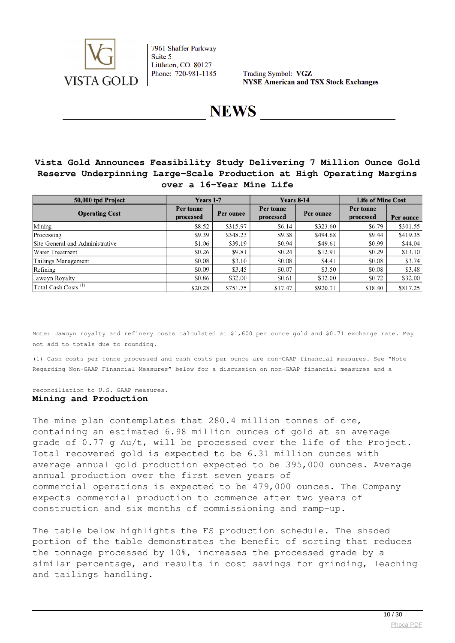

Trading Symbol: VGZ **NYSE American and TSX Stock Exchanges** 

**NEWS** 

## **Vista Gold Announces Feasibility Study Delivering 7 Million Ounce Gold Reserve Underpinning Large-Scale Production at High Operating Margins over a 16-Year Mine Life**

| 50,000 tpd Project              | Years 1-7              |           | <b>Years 8-14</b>      |           | <b>Life of Mine Cost</b> |           |  |
|---------------------------------|------------------------|-----------|------------------------|-----------|--------------------------|-----------|--|
| <b>Operating Cost</b>           | Per tonne<br>processed | Per ounce | Per tonne<br>processed | Per ounce | Per tonne<br>processed   | Per ounce |  |
| Mining                          | \$8.52                 | \$315.97  | \$6.14                 | \$323.60  | \$6.79                   | \$301.55  |  |
| Processing                      | \$9.39                 | \$348.23  | \$9.38                 | \$494.68  | \$9.44                   | \$419.35  |  |
| Site General and Administrative | \$1.06                 | \$39.19   | \$0.94                 | \$49.61   | \$0.99                   | \$44.04   |  |
| Water Treatment                 | \$0.26                 | \$9.81    | \$0.24                 | \$12.91   | \$0.29                   | \$13.10   |  |
| Tailings Management             | \$0.08                 | \$3.10    | \$0.08                 | \$4.41    | \$0.08                   | \$3.74    |  |
| Refining                        | \$0.09                 | \$3.45    | \$0.07                 | \$3.50    | \$0.08                   | \$3.48    |  |
| Jawoyn Royalty                  | \$0.86                 | \$32.00   | \$0.61                 | \$32.00   | \$0.72                   | \$32.00   |  |
| Total Cash Costs <sup>(1)</sup> | \$20.28                | \$751.75  | \$17.47                | \$920.71  | \$18.40                  | \$817.25  |  |

Note: Jawoyn royalty and refinery costs calculated at \$1,600 per ounce gold and \$0.71 exchange rate. May not add to totals due to rounding.

(1) Cash costs per tonne processed and cash costs per ounce are non-GAAP financial measures. See "Note Regarding Non-GAAP Financial Measures" below for a discussion on non-GAAP financial measures and a

#### reconciliation to U.S. GAAP measures. **Mining and Production**

The mine plan contemplates that 280.4 million tonnes of ore, containing an estimated 6.98 million ounces of gold at an average grade of 0.77 g Au/t, will be processed over the life of the Project. Total recovered gold is expected to be 6.31 million ounces with average annual gold production expected to be 395,000 ounces. Average annual production over the first seven years of commercial operations is expected to be 479,000 ounces. The Company expects commercial production to commence after two years of construction and six months of commissioning and ramp-up.

The table below highlights the FS production schedule. The shaded portion of the table demonstrates the benefit of sorting that reduces the tonnage processed by 10%, increases the processed grade by a similar percentage, and results in cost savings for grinding, leaching and tailings handling.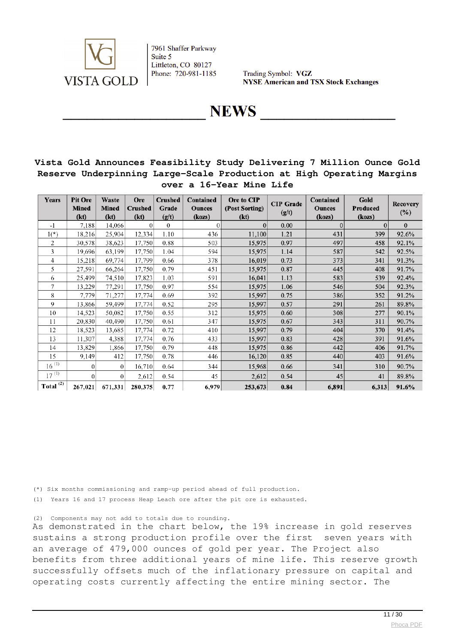

Trading Symbol: VGZ **NYSE American and TSX Stock Exchanges** 

**NEWS** 

## **Vista Gold Announces Feasibility Study Delivering 7 Million Ounce Gold Reserve Underpinning Large-Scale Production at High Operating Margins over a 16-Year Mine Life**

| Years                     | <b>Pit Ore</b><br><b>Mined</b><br>(kt) | Waste<br><b>Mined</b><br>(kt) | <b>Ore</b><br><b>Crushed</b><br>(kt) | <b>Crushed</b><br>Grade<br>(g/t) | Contained<br><b>Ounces</b><br>(kozs) | Ore to CIP<br>(Post Sorting)<br>(kt) | <b>CIP</b> Grade<br>(g/t) | Contained<br><b>Ounces</b><br>(kozs) | Gold<br>Produced<br>(kozs) | <b>Recovery</b><br>$(\%)$ |
|---------------------------|----------------------------------------|-------------------------------|--------------------------------------|----------------------------------|--------------------------------------|--------------------------------------|---------------------------|--------------------------------------|----------------------------|---------------------------|
| $-1$                      | 7.188                                  | 14,066                        | $\Omega$                             | $\theta$                         | 0                                    | $\bf{0}$                             | 0.00                      | $\Omega$                             | $\Omega$                   | $\mathbf{0}$              |
| $1(*)$                    | 18,216                                 | 25,904                        | 12,334                               | 1.10                             | 436                                  | 11,100                               | 1.21                      | 431                                  | 399                        | 92.6%                     |
| 2                         | 30,578                                 | 38,623                        | 17,750                               | 0.88                             | 503                                  | 15,975                               | 0.97                      | 497                                  | 458                        | 92.1%                     |
| 3                         | 19.696                                 | 63,199                        | 17,750                               | 1.04                             | 594                                  | 15,975                               | 1.14                      | 587                                  | 542                        | 92.5%                     |
| 4                         | 15,218                                 | 69,774                        | 17,799                               | 0.66                             | 378                                  | 16,019                               | 0.73                      | 373                                  | 341                        | 91.3%                     |
| 5                         | 27,591                                 | 66,264                        | 17,750                               | 0.79                             | 451                                  | 15,975                               | 0.87                      | 445                                  | 408                        | 91.7%                     |
| 6                         | 25,499                                 | 74,510                        | 17,823                               | 1.03                             | 591                                  | 16,041                               | 1.13                      | 583                                  | 539                        | 92.4%                     |
| 7                         | 13,229                                 | 77,291                        | 17,750                               | 0.97                             | 554                                  | 15,975                               | 1.06                      | 546                                  | 504                        | 92.3%                     |
| 8                         | 7,779                                  | 71,277                        | 17,774                               | 0.69                             | 392                                  | 15,997                               | 0.75                      | 386                                  | 352                        | 91.2%                     |
| 9                         | 13,866                                 | 59,499                        | 17,774                               | 0.52                             | 295                                  | 15,997                               | 0.57                      | 291                                  | 261                        | 89.8%                     |
| 10                        | 14.523                                 | 50,082                        | 17,750                               | 0.55                             | 312                                  | 15,975                               | 0.60                      | 308                                  | 277                        | 90.1%                     |
| 11                        | 20,830                                 | 40,490                        | 17,750                               | 0.61                             | 347                                  | 15,975                               | 0.67                      | 343                                  | 311                        | 90.7%                     |
| 12                        | 18,523                                 | 13,685                        | 17,774                               | 0.72                             | 410                                  | 15,997                               | 0.79                      | 404                                  | 370                        | 91.4%                     |
| 13                        | 11,307                                 | 4,388                         | 17,774                               | 0.76                             | 433                                  | 15,997                               | 0.83                      | 428                                  | 391                        | 91.6%                     |
| 14                        | 13.829                                 | 1,866                         | 17,750                               | 0.79                             | 448                                  | 15,975                               | 0.86                      | 442                                  | 406                        | 91.7%                     |
| 15                        | 9,149                                  | 412                           | 17,750                               | 0.78                             | 446                                  | 16,120                               | 0.85                      | 440                                  | 403                        | 91.6%                     |
| $16^{(1)}$                | $\theta$                               | $\overline{0}$                | 16,710                               | 0.64                             | 344                                  | 15,968                               | 0.66                      | 341                                  | 310                        | 90.7%                     |
| $17^{(1)}$                | $\theta$                               | $\overline{0}$                | 2,612                                | 0.54                             | 45                                   | 2,612                                | 0.54                      | 45                                   | 41                         | 89.8%                     |
| Total $\overline{^{(2)}}$ | 267,021                                | 671,331                       | 280,375                              | 0.77                             | 6,979                                | 253,673                              | 0.84                      | 6,891                                | 6,313                      | 91.6%                     |

(\*) Six months commissioning and ramp-up period ahead of full production.

(1) Years 16 and 17 process Heap Leach ore after the pit ore is exhausted.

(2) Components may not add to totals due to rounding.

As demonstrated in the chart below, the 19% increase in gold reserves sustains a strong production profile over the first seven years with an average of 479,000 ounces of gold per year. The Project also benefits from three additional years of mine life. This reserve growth successfully offsets much of the inflationary pressure on capital and operating costs currently affecting the entire mining sector. The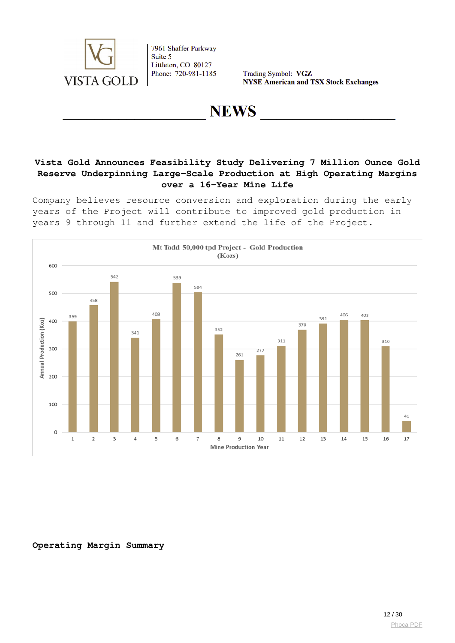

Trading Symbol: VGZ **NYSE American and TSX Stock Exchanges** 

# **NEWS**

## **Vista Gold Announces Feasibility Study Delivering 7 Million Ounce Gold Reserve Underpinning Large-Scale Production at High Operating Margins over a 16-Year Mine Life**

Company believes resource conversion and exploration during the early years of the Project will contribute to improved gold production in years 9 through 11 and further extend the life of the Project.



**Operating Margin Summary**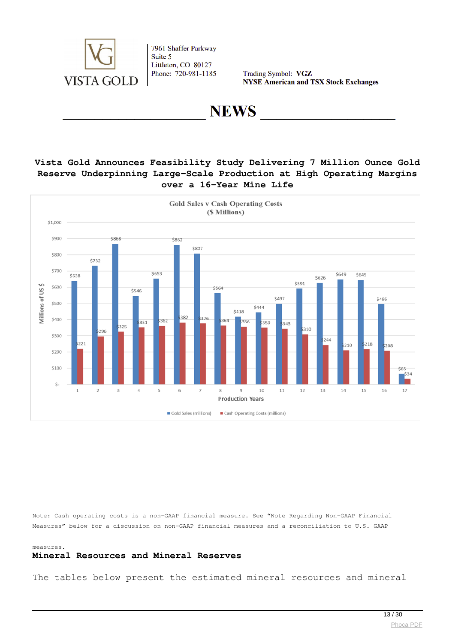

Trading Symbol: VGZ **NYSE American and TSX Stock Exchanges** 

**NEWS** 

### **Vista Gold Announces Feasibility Study Delivering 7 Million Ounce Gold Reserve Underpinning Large-Scale Production at High Operating Margins over a 16-Year Mine Life**



Note: Cash operating costs is a non-GAAP financial measure. See "Note Regarding Non-GAAP Financial Measures" below for a discussion on non-GAAP financial measures and a reconciliation to U.S. GAAP

#### measures.

## **Mineral Resources and Mineral Reserves**

The tables below present the estimated mineral resources and mineral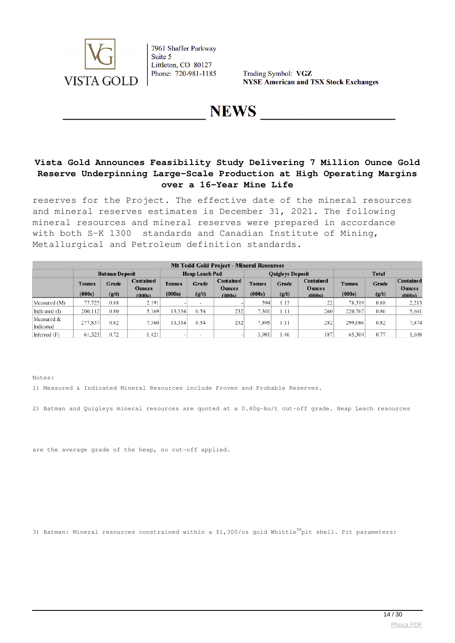

Trading Symbol: VGZ **NYSE American and TSX Stock Exchanges** 

**NEWS** 

## **Vista Gold Announces Feasibility Study Delivering 7 Million Ounce Gold Reserve Underpinning Large-Scale Production at High Operating Margins over a 16-Year Mine Life**

reserves for the Project. The effective date of the mineral resources and mineral reserves estimates is December 31, 2021. The following mineral resources and mineral reserves were prepared in accordance with both S-K 1300 standards and Canadian Institute of Mining, Metallurgical and Petroleum definition standards.

| <b>Mt Todd Gold Project - Mineral Resources</b> |                         |                |                                             |                         |                |                                      |                         |                         |                                      |                         |                |                                             |
|-------------------------------------------------|-------------------------|----------------|---------------------------------------------|-------------------------|----------------|--------------------------------------|-------------------------|-------------------------|--------------------------------------|-------------------------|----------------|---------------------------------------------|
|                                                 | <b>Batman Deposit</b>   |                |                                             | <b>Heap Leach Pad</b>   |                |                                      |                         | <b>Quigleys Deposit</b> |                                      | <b>Total</b>            |                |                                             |
|                                                 | <b>Tonnes</b><br>(000s) | Grade<br>(g/t) | <b>Contained</b><br><b>Ounces</b><br>(000s) | <b>Tonnes</b><br>(000s) | Grade<br>(g/t) | Contained<br><b>Ounces</b><br>(000s) | <b>Tonnes</b><br>(000s) | Grade<br>(g/t)          | Contained<br><b>Ounces</b><br>(000s) | <b>Tonnes</b><br>(000s) | Grade<br>(g/t) | <b>Contained</b><br><b>Ounces</b><br>(000s) |
| Measured (M)                                    | 77,725                  | 0.88           | 2.191                                       |                         | $\sim$         |                                      | 594                     | 1.15                    | 22                                   | 78.319                  | 0.88           | 2.213                                       |
| Indicated (I)                                   | 200,112                 | 0.80           | 5.169                                       | 13.354                  | 0.54           | 232                                  | 7,301                   | 1.11                    | 260                                  | 220,767                 | 0.80           | 5,661                                       |
| Measured &<br>Indicated                         | 277,837                 | 0.82           | 7.360                                       | 13.354                  | 0.54           | 232                                  | 7,895                   | 1.11                    | 282                                  | 299.086                 | 0.82           | 7,874                                       |
| Inferred (F)                                    | 61.323                  | 0.72           | (.421)                                      |                         |                |                                      | 3.981                   | 1.46                    | 187                                  | 65.304                  | 0.77           | .608                                        |

Notes:

1) Measured & Indicated Mineral Resources include Proven and Probable Reserves.

2) Batman and Quigleys mineral resources are quoted at a 0.40g-Au/t cut-off grade. Heap Leach resources

are the average grade of the heap, no cut-off applied.

3) Batman: Mineral resources constrained within a \$1,300/oz gold Whittle<sup>TM</sup>pit shell. Pit parameters: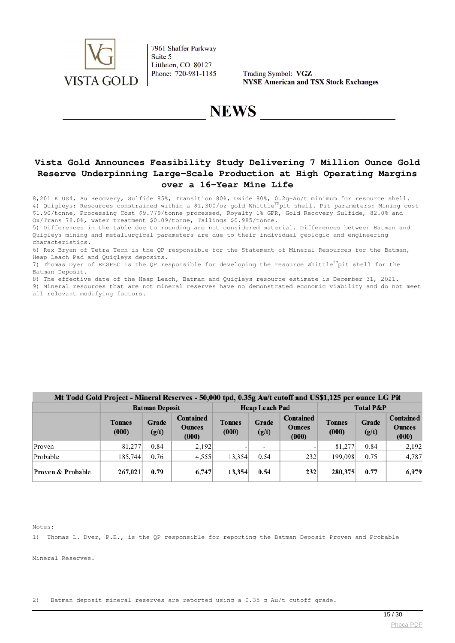

Trading Symbol: VGZ **NYSE American and TSX Stock Exchanges** 

## **NEWS**

## **Vista Gold Announces Feasibility Study Delivering 7 Million Ounce Gold Reserve Underpinning Large-Scale Production at High Operating Margins over a 16-Year Mine Life**

8,201 K US4, Au Recovery, Sulfide 85%, Transition 80%, Oxide 80%, 0.2g-Au/t minimum for resource shell. 4) Quigleys: Resources constrained within a \$1,300/oz gold Whittle<sup>TM</sup>pit shell. Pit parameters: Mining cost \$1.90/tonne, Processing Cost \$9.779/tonne processed, Royalty 1% GPR, Gold Recovery Sulfide, 82.0% and Ox/Trans 78.0%, water treatment \$0.09/tonne, Tailings \$0.985/tonne.

5) Differences in the table due to rounding are not considered material. Differences between Batman and Quigleys mining and metallurgical parameters are due to their individual geologic and engineering characteristics.

6) Rex Bryan of Tetra Tech is the QP responsible for the Statement of Mineral Resources for the Batman, Heap Leach Pad and Quigleys deposits.

7) Thomas Dyer of RESPEC is the OP responsible for developing the resource Whittle<sup>TM</sup>pit shell for the Batman Deposit.

8) The effective date of the Heap Leach, Batman and Quigleys resource estimate is December 31, 2021.

9) Mineral resources that are not mineral reserves have no demonstrated economic viability and do not meet all relevant modifying factors.

### Mt Todd Gold Project - Mineral Reserves - 50.000 tod. 0.35g Au/t cutoff and US\$1.125 per ounce LG Pit

|                   | <b>Batman Deposit</b>  |                |                                     | <b>Heap Leach Pad</b>  |                          | <b>Total P&amp;P</b>                |                        |                |                                            |
|-------------------|------------------------|----------------|-------------------------------------|------------------------|--------------------------|-------------------------------------|------------------------|----------------|--------------------------------------------|
|                   | <b>Tonnes</b><br>(000) | Grade<br>(g/t) | Contained<br><b>Ounces</b><br>(000) | <b>Tonnes</b><br>(000) | Grade<br>(g/t)           | Contained<br><b>Ounces</b><br>(000) | <b>Tonnes</b><br>(000) | Grade<br>(g/t) | <b>Contained</b><br><b>Ounces</b><br>(000) |
| Proven            | 81,277                 | 0.84           | 2,192                               |                        | $\overline{\phantom{a}}$ |                                     | 81,277                 | 0.84           | 2,192                                      |
| Probable          | 185,744                | 0.76           | 4,555                               | 13,354                 | 0.54                     | 232                                 | 199.098                | 0.75           | 4,787                                      |
| Proven & Probable | 267,021                | 0.79           | 6,747                               | 13,354                 | 0.54                     | 232                                 | 280,375                | 0.77           | 6,979                                      |

Notes:

1) Thomas L. Dyer, P.E., is the QP responsible for reporting the Batman Deposit Proven and Probable

Mineral Reserves.

2) Batman deposit mineral reserves are reported using a 0.35 g Au/t cutoff grade.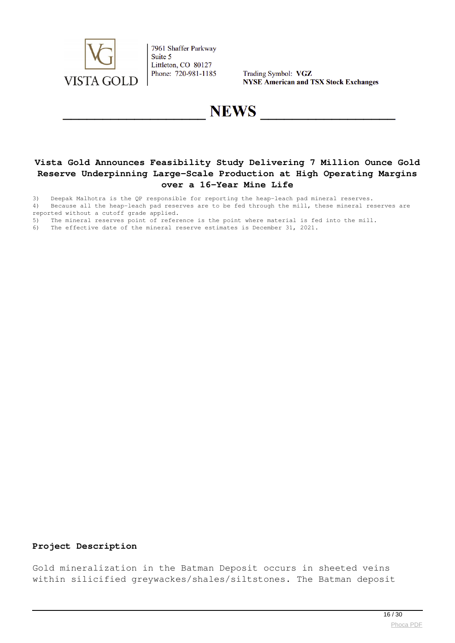

Trading Symbol: VGZ **NYSE American and TSX Stock Exchanges** 

# **NEWS**

## **Vista Gold Announces Feasibility Study Delivering 7 Million Ounce Gold Reserve Underpinning Large-Scale Production at High Operating Margins over a 16-Year Mine Life**

3) Deepak Malhotra is the QP responsible for reporting the heap-leach pad mineral reserves.

4) Because all the heap-leach pad reserves are to be fed through the mill, these mineral reserves are reported without a cutoff grade applied.

5) The mineral reserves point of reference is the point where material is fed into the mill.<br>6) The effective date of the mineral reserve estimates is December 31, 2021.

The effective date of the mineral reserve estimates is December 31, 2021.

#### **Project Description**

Gold mineralization in the Batman Deposit occurs in sheeted veins within silicified greywackes/shales/siltstones. The Batman deposit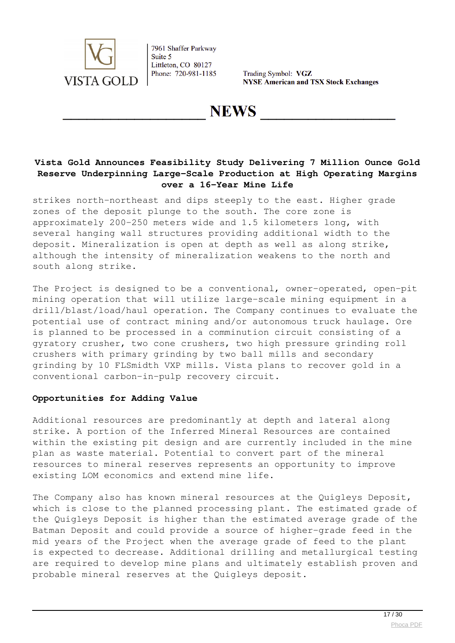

Trading Symbol: VGZ **NYSE American and TSX Stock Exchanges** 

**NEWS** 

## **Vista Gold Announces Feasibility Study Delivering 7 Million Ounce Gold Reserve Underpinning Large-Scale Production at High Operating Margins over a 16-Year Mine Life**

strikes north-northeast and dips steeply to the east. Higher grade zones of the deposit plunge to the south. The core zone is approximately 200-250 meters wide and 1.5 kilometers long, with several hanging wall structures providing additional width to the deposit. Mineralization is open at depth as well as along strike, although the intensity of mineralization weakens to the north and south along strike.

The Project is designed to be a conventional, owner-operated, open-pit mining operation that will utilize large-scale mining equipment in a drill/blast/load/haul operation. The Company continues to evaluate the potential use of contract mining and/or autonomous truck haulage. Ore is planned to be processed in a comminution circuit consisting of a gyratory crusher, two cone crushers, two high pressure grinding roll crushers with primary grinding by two ball mills and secondary grinding by 10 FLSmidth VXP mills. Vista plans to recover gold in a conventional carbon-in-pulp recovery circuit.

#### **Opportunities for Adding Value**

Additional resources are predominantly at depth and lateral along strike. A portion of the Inferred Mineral Resources are contained within the existing pit design and are currently included in the mine plan as waste material. Potential to convert part of the mineral resources to mineral reserves represents an opportunity to improve existing LOM economics and extend mine life.

The Company also has known mineral resources at the Quigleys Deposit, which is close to the planned processing plant. The estimated grade of the Quigleys Deposit is higher than the estimated average grade of the Batman Deposit and could provide a source of higher-grade feed in the mid years of the Project when the average grade of feed to the plant is expected to decrease. Additional drilling and metallurgical testing are required to develop mine plans and ultimately establish proven and probable mineral reserves at the Quigleys deposit.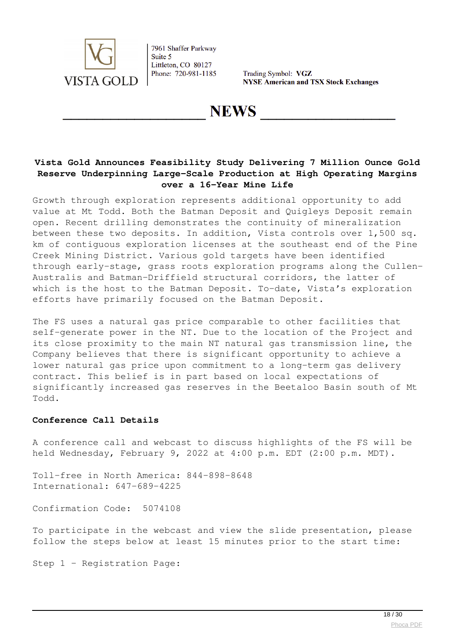

Trading Symbol: VGZ **NYSE American and TSX Stock Exchanges** 

**NEWS** 

## **Vista Gold Announces Feasibility Study Delivering 7 Million Ounce Gold Reserve Underpinning Large-Scale Production at High Operating Margins over a 16-Year Mine Life**

Growth through exploration represents additional opportunity to add value at Mt Todd. Both the Batman Deposit and Quigleys Deposit remain open. Recent drilling demonstrates the continuity of mineralization between these two deposits. In addition, Vista controls over 1,500 sq. km of contiguous exploration licenses at the southeast end of the Pine Creek Mining District. Various gold targets have been identified through early-stage, grass roots exploration programs along the Cullen-Australis and Batman-Driffield structural corridors, the latter of which is the host to the Batman Deposit. To-date, Vista's exploration efforts have primarily focused on the Batman Deposit.

The FS uses a natural gas price comparable to other facilities that self-generate power in the NT. Due to the location of the Project and its close proximity to the main NT natural gas transmission line, the Company believes that there is significant opportunity to achieve a lower natural gas price upon commitment to a long-term gas delivery contract. This belief is in part based on local expectations of significantly increased gas reserves in the Beetaloo Basin south of Mt Todd.

#### **Conference Call Details**

A conference call and webcast to discuss highlights of the FS will be held Wednesday, February 9, 2022 at 4:00 p.m. EDT (2:00 p.m. MDT).

Toll-free in North America: 844-898-8648 International: 647-689-4225

Confirmation Code: 5074108

To participate in the webcast and view the slide presentation, please follow the steps below at least 15 minutes prior to the start time:

Step 1 – Registration Page: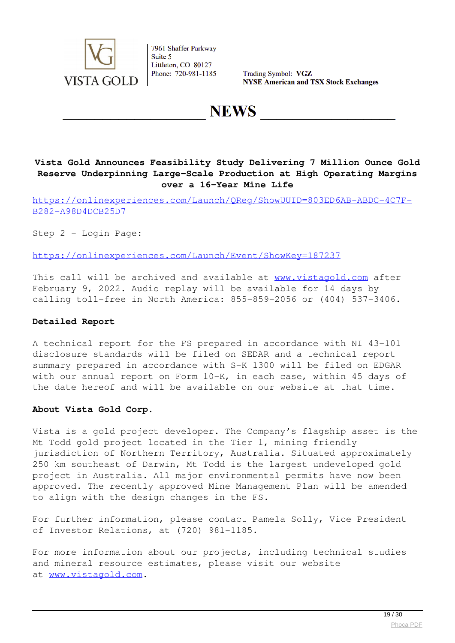

Trading Symbol: VGZ **NYSE American and TSX Stock Exchanges** 

# **NEWS**

## **Vista Gold Announces Feasibility Study Delivering 7 Million Ounce Gold Reserve Underpinning Large-Scale Production at High Operating Margins over a 16-Year Mine Life**

[https://onlinexperiences.com/Launch/QReg/ShowUUID=803ED6AB-ABDC-4C7F-](https://onlinexperiences.com/Launch/QReg/ShowUUID=803ED6AB-ABDC-4C7F-B282-A98D4DCB25D7)[B282-A98D4DCB25D7](https://onlinexperiences.com/Launch/QReg/ShowUUID=803ED6AB-ABDC-4C7F-B282-A98D4DCB25D7)

Step 2 – Login Page:

<https://onlinexperiences.com/Launch/Event/ShowKey=187237>

This call will be archived and available at [www.vistagold.com](http://www.vistagold.com/) after February 9, 2022. Audio replay will be available for 14 days by calling toll-free in North America: 855-859-2056 or (404) 537-3406.

#### **Detailed Report**

A technical report for the FS prepared in accordance with NI 43-101 disclosure standards will be filed on SEDAR and a technical report summary prepared in accordance with S-K 1300 will be filed on EDGAR with our annual report on Form 10-K, in each case, within 45 days of the date hereof and will be available on our website at that time.

#### **About Vista Gold Corp.**

Vista is a gold project developer. The Company's flagship asset is the Mt Todd gold project located in the Tier 1, mining friendly jurisdiction of Northern Territory, Australia. Situated approximately 250 km southeast of Darwin, Mt Todd is the largest undeveloped gold project in Australia. All major environmental permits have now been approved. The recently approved Mine Management Plan will be amended to align with the design changes in the FS.

For further information, please contact Pamela Solly, Vice President of Investor Relations, at (720) 981-1185.

For more information about our projects, including technical studies and mineral resource estimates, please visit our website at [www.vistagold.com.](http://www.vistagold.com/)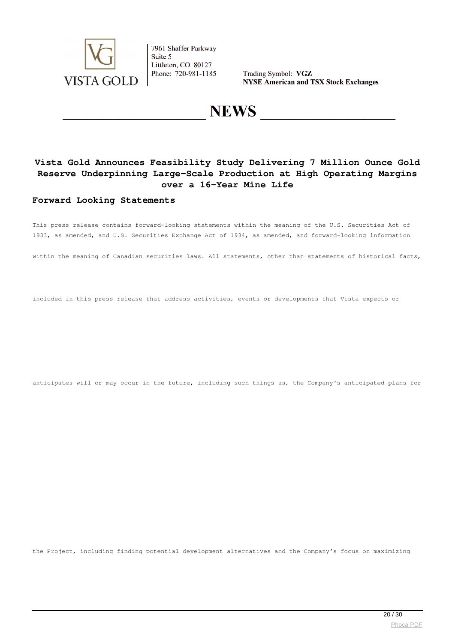

Trading Symbol: VGZ **NYSE American and TSX Stock Exchanges** 

# **NEWS**

## **Vista Gold Announces Feasibility Study Delivering 7 Million Ounce Gold Reserve Underpinning Large-Scale Production at High Operating Margins over a 16-Year Mine Life**

#### **Forward Looking Statements**

This press release contains forward-looking statements within the meaning of the U.S. Securities Act of 1933, as amended, and U.S. Securities Exchange Act of 1934, as amended, and forward-looking information

within the meaning of Canadian securities laws. All statements, other than statements of historical facts,

included in this press release that address activities, events or developments that Vista expects or

anticipates will or may occur in the future, including such things as, the Company's anticipated plans for

the Project, including finding potential development alternatives and the Company's focus on maximizing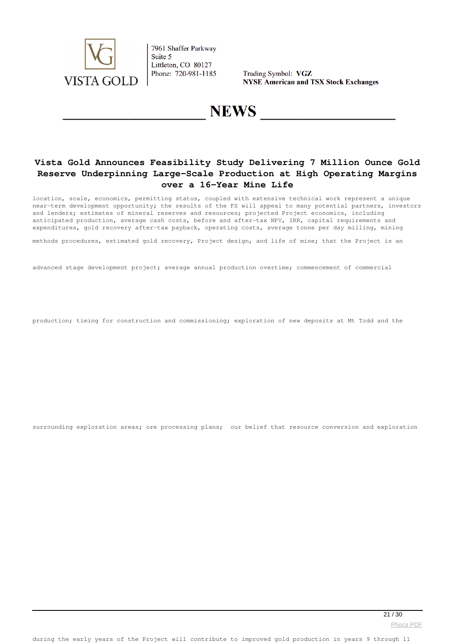

Trading Symbol: VGZ **NYSE American and TSX Stock Exchanges** 

# **NEWS**

## **Vista Gold Announces Feasibility Study Delivering 7 Million Ounce Gold Reserve Underpinning Large-Scale Production at High Operating Margins over a 16-Year Mine Life**

location, scale, economics, permitting status, coupled with extensive technical work represent a unique near-term development opportunity; the results of the FS will appeal to many potential partners, investors and lenders; estimates of mineral reserves and resources; projected Project economics, including anticipated production, average cash costs, before and after-tax NPV, IRR, capital requirements and expenditures, gold recovery after-tax payback, operating costs, average tonne per day milling, mining

methods procedures, estimated gold recovery, Project design, and life of mine; that the Project is an

advanced stage development project; average annual production overtime; commencement of commercial

production; timing for construction and commissioning; exploration of new deposits at Mt Todd and the

surrounding exploration areas; ore processing plans; our belief that resource conversion and exploration

[Phoca PDF](http://www.phoca.cz/phocapdf)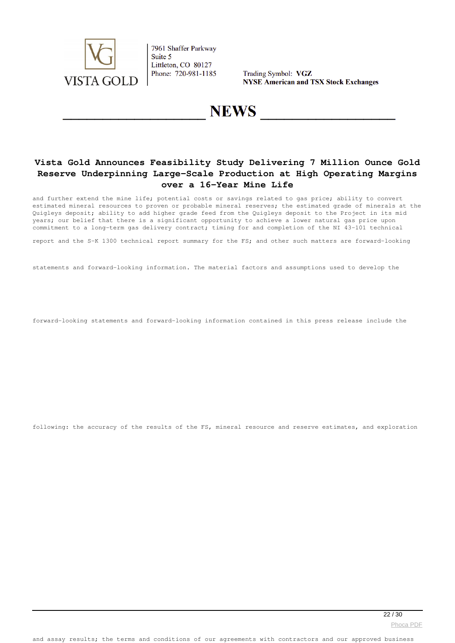

Trading Symbol: VGZ **NYSE American and TSX Stock Exchanges** 

# **NEWS**

## **Vista Gold Announces Feasibility Study Delivering 7 Million Ounce Gold Reserve Underpinning Large-Scale Production at High Operating Margins over a 16-Year Mine Life**

and further extend the mine life; potential costs or savings related to gas price; ability to convert estimated mineral resources to proven or probable mineral reserves; the estimated grade of minerals at the Quigleys deposit; ability to add higher grade feed from the Quigleys deposit to the Project in its mid years; our belief that there is a significant opportunity to achieve a lower natural gas price upon commitment to a long-term gas delivery contract; timing for and completion of the NI 43-101 technical

report and the S-K 1300 technical report summary for the FS; and other such matters are forward-looking

statements and forward-looking information. The material factors and assumptions used to develop the

forward-looking statements and forward-looking information contained in this press release include the

following: the accuracy of the results of the FS, mineral resource and reserve estimates, and exploration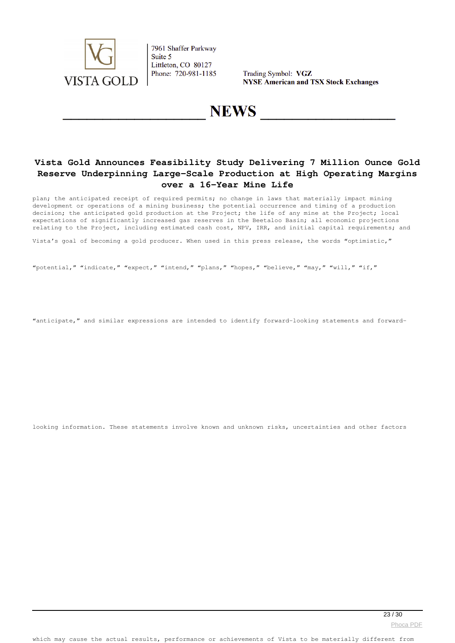

Trading Symbol: VGZ **NYSE American and TSX Stock Exchanges** 

## **NEWS**

## **Vista Gold Announces Feasibility Study Delivering 7 Million Ounce Gold Reserve Underpinning Large-Scale Production at High Operating Margins over a 16-Year Mine Life**

plan; the anticipated receipt of required permits; no change in laws that materially impact mining development or operations of a mining business; the potential occurrence and timing of a production decision; the anticipated gold production at the Project; the life of any mine at the Project; local expectations of significantly increased gas reserves in the Beetaloo Basin; all economic projections relating to the Project, including estimated cash cost, NPV, IRR, and initial capital requirements; and

Vista's goal of becoming a gold producer. When used in this press release, the words "optimistic,"

"potential," "indicate," "expect," "intend," "plans," "hopes," "believe," "may," "will," "if,"

"anticipate," and similar expressions are intended to identify forward-looking statements and forward-

looking information. These statements involve known and unknown risks, uncertainties and other factors

[Phoca PDF](http://www.phoca.cz/phocapdf)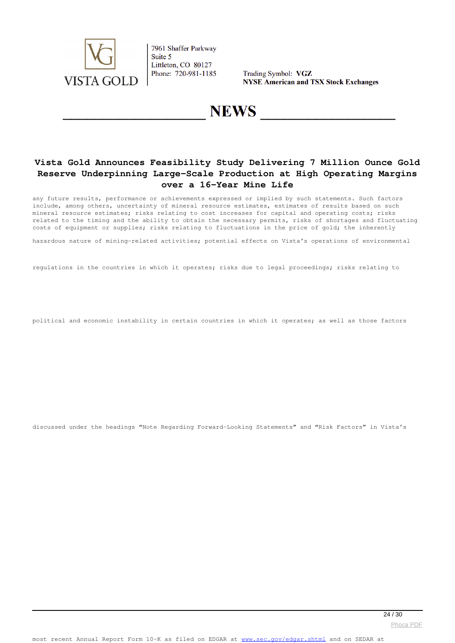

Trading Symbol: VGZ **NYSE American and TSX Stock Exchanges** 

# **NEWS**

## **Vista Gold Announces Feasibility Study Delivering 7 Million Ounce Gold Reserve Underpinning Large-Scale Production at High Operating Margins over a 16-Year Mine Life**

any future results, performance or achievements expressed or implied by such statements. Such factors include, among others, uncertainty of mineral resource estimates, estimates of results based on such mineral resource estimates; risks relating to cost increases for capital and operating costs; risks related to the timing and the ability to obtain the necessary permits, risks of shortages and fluctuating costs of equipment or supplies; risks relating to fluctuations in the price of gold; the inherently

hazardous nature of mining-related activities; potential effects on Vista's operations of environmental

regulations in the countries in which it operates; risks due to legal proceedings; risks relating to

political and economic instability in certain countries in which it operates; as well as those factors

discussed under the headings "Note Regarding Forward-Looking Statements" and "Risk Factors" in Vista's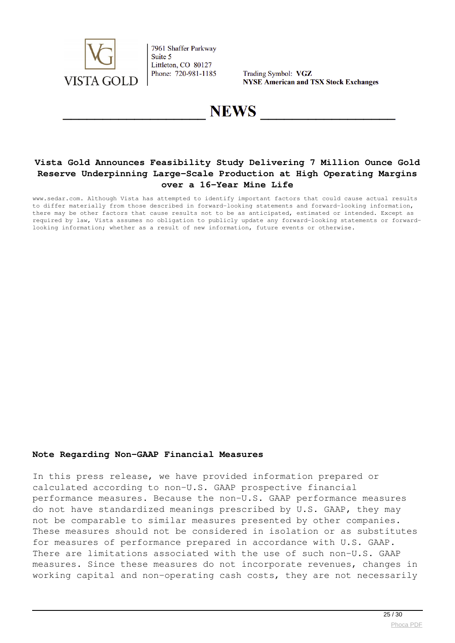

Trading Symbol: VGZ **NYSE American and TSX Stock Exchanges** 

# **NEWS**

## **Vista Gold Announces Feasibility Study Delivering 7 Million Ounce Gold Reserve Underpinning Large-Scale Production at High Operating Margins over a 16-Year Mine Life**

www.sedar.com. Although Vista has attempted to identify important factors that could cause actual results to differ materially from those described in forward-looking statements and forward-looking information, there may be other factors that cause results not to be as anticipated, estimated or intended. Except as required by law, Vista assumes no obligation to publicly update any forward-looking statements or forwardlooking information; whether as a result of new information, future events or otherwise.

#### **Note Regarding Non-GAAP Financial Measures**

In this press release, we have provided information prepared or calculated according to non-U.S. GAAP prospective financial performance measures. Because the non-U.S. GAAP performance measures do not have standardized meanings prescribed by U.S. GAAP, they may not be comparable to similar measures presented by other companies. These measures should not be considered in isolation or as substitutes for measures of performance prepared in accordance with U.S. GAAP. There are limitations associated with the use of such non-U.S. GAAP measures. Since these measures do not incorporate revenues, changes in working capital and non-operating cash costs, they are not necessarily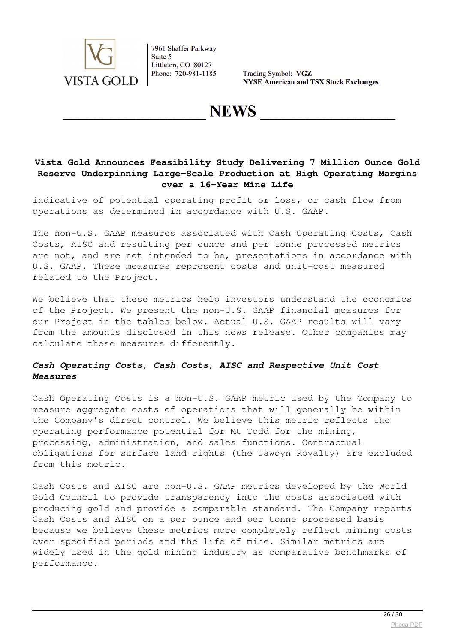

Trading Symbol: VGZ **NYSE American and TSX Stock Exchanges** 

**NEWS** 

## **Vista Gold Announces Feasibility Study Delivering 7 Million Ounce Gold Reserve Underpinning Large-Scale Production at High Operating Margins over a 16-Year Mine Life**

indicative of potential operating profit or loss, or cash flow from operations as determined in accordance with U.S. GAAP.

The non-U.S. GAAP measures associated with Cash Operating Costs, Cash Costs, AISC and resulting per ounce and per tonne processed metrics are not, and are not intended to be, presentations in accordance with U.S. GAAP. These measures represent costs and unit-cost measured related to the Project.

We believe that these metrics help investors understand the economics of the Project. We present the non-U.S. GAAP financial measures for our Project in the tables below. Actual U.S. GAAP results will vary from the amounts disclosed in this news release. Other companies may calculate these measures differently.

## *Cash Operating Costs, Cash Costs, AISC and Respective Unit Cost Measures*

Cash Operating Costs is a non-U.S. GAAP metric used by the Company to measure aggregate costs of operations that will generally be within the Company's direct control. We believe this metric reflects the operating performance potential for Mt Todd for the mining, processing, administration, and sales functions. Contractual obligations for surface land rights (the Jawoyn Royalty) are excluded from this metric.

Cash Costs and AISC are non-U.S. GAAP metrics developed by the World Gold Council to provide transparency into the costs associated with producing gold and provide a comparable standard. The Company reports Cash Costs and AISC on a per ounce and per tonne processed basis because we believe these metrics more completely reflect mining costs over specified periods and the life of mine. Similar metrics are widely used in the gold mining industry as comparative benchmarks of performance.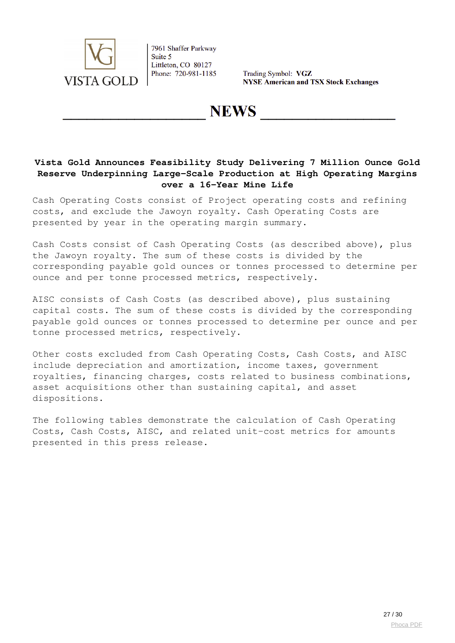

Trading Symbol: VGZ **NYSE American and TSX Stock Exchanges** 

**NEWS** 

## **Vista Gold Announces Feasibility Study Delivering 7 Million Ounce Gold Reserve Underpinning Large-Scale Production at High Operating Margins over a 16-Year Mine Life**

Cash Operating Costs consist of Project operating costs and refining costs, and exclude the Jawoyn royalty. Cash Operating Costs are presented by year in the operating margin summary.

Cash Costs consist of Cash Operating Costs (as described above), plus the Jawoyn royalty. The sum of these costs is divided by the corresponding payable gold ounces or tonnes processed to determine per ounce and per tonne processed metrics, respectively.

AISC consists of Cash Costs (as described above), plus sustaining capital costs. The sum of these costs is divided by the corresponding payable gold ounces or tonnes processed to determine per ounce and per tonne processed metrics, respectively.

Other costs excluded from Cash Operating Costs, Cash Costs, and AISC include depreciation and amortization, income taxes, government royalties, financing charges, costs related to business combinations, asset acquisitions other than sustaining capital, and asset dispositions.

The following tables demonstrate the calculation of Cash Operating Costs, Cash Costs, AISC, and related unit-cost metrics for amounts presented in this press release.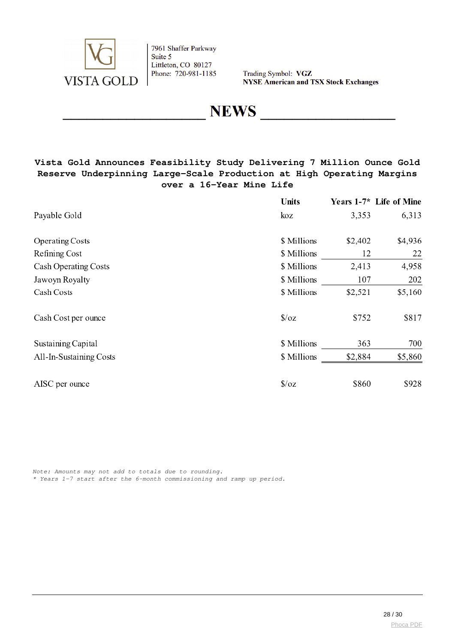

Trading Symbol: VGZ **NYSE American and TSX Stock Exchanges** 

**NEWS** 

## **Vista Gold Announces Feasibility Study Delivering 7 Million Ounce Gold Reserve Underpinning Large-Scale Production at High Operating Margins over a 16-Year Mine Life**

|                         | Units          |         | Years 1-7* Life of Mine |
|-------------------------|----------------|---------|-------------------------|
| Payable Gold            | koz            | 3,353   | 6,313                   |
| <b>Operating Costs</b>  | \$ Millions    | \$2,402 | \$4,936                 |
| Refining Cost           | \$ Millions    | 12      | 22                      |
| Cash Operating Costs    | \$ Millions    | 2,413   | 4,958                   |
| Jawoyn Royalty          | \$ Millions    | 107     | 202                     |
| Cash Costs              | \$ Millions    | \$2,521 | \$5,160                 |
| Cash Cost per ounce     | $\sqrt{$}$ /oz | \$752   | \$817                   |
| Sustaining Capital      | \$ Millions    | 363     | 700                     |
| All-In-Sustaining Costs | \$ Millions    | \$2,884 | \$5,860                 |
| AISC per ounce          | $\sqrt{$}$ /0Z | \$860   | \$928                   |

*Note: Amounts may not add to totals due to rounding. \* Years 1-7 start after the 6-month commissioning and ramp up period.*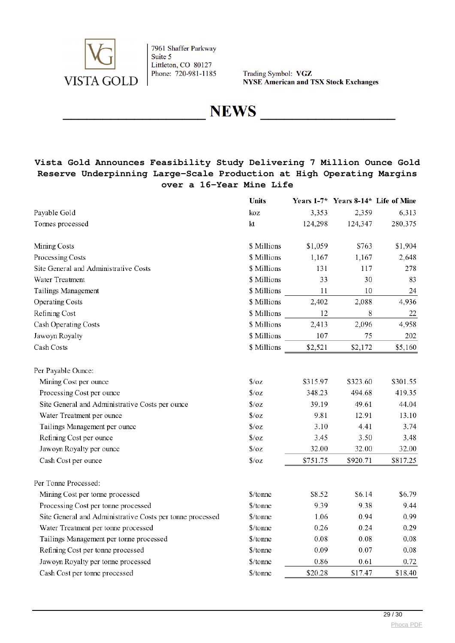

Trading Symbol: VGZ **NYSE American and TSX Stock Exchanges** 

**NEWS** 

## **Vista Gold Announces Feasibility Study Delivering 7 Million Ounce Gold Reserve Underpinning Large-Scale Production at High Operating Margins over a 16-Year Mine Life**

|                                                           | <b>Units</b>   |          | Years 1-7* Years 8-14* Life of Mine |          |
|-----------------------------------------------------------|----------------|----------|-------------------------------------|----------|
| Payable Gold                                              | koz            | 3,353    | 2,359                               | 6,313    |
| Tonnes processed                                          | kt             | 124,298  | 124,347                             | 280,375  |
| Mining Costs                                              | \$ Millions    | \$1,059  | \$763                               | \$1,904  |
| Processing Costs                                          | \$ Millions    | 1,167    | 1,167                               | 2,648    |
| Site General and Administrative Costs                     | \$ Millions    | 131      | 117                                 | 278      |
| Water Treatment                                           | \$ Millions    | 33       | 30                                  | 83       |
| Tailings Management                                       | \$ Millions    | 11       | 10                                  | 24       |
| <b>Operating Costs</b>                                    | \$ Millions    | 2,402    | 2,088                               | 4,936    |
| Refining Cost                                             | \$ Millions    | 12       | 8                                   | 22       |
| Cash Operating Costs                                      | \$ Millions    | 2,413    | 2,096                               | 4,958    |
| Jawoyn Royalty                                            | \$ Millions    | 107      | 75                                  | 202      |
| Cash Costs                                                | \$ Millions    | \$2,521  | \$2,172                             | \$5,160  |
| Per Payable Ounce:                                        |                |          |                                     |          |
| Mining Cost per ounce                                     | $\sqrt{$}$ /oz | \$315.97 | \$323.60                            | \$301.55 |
| Processing Cost per ounce                                 | $\sqrt{2}/oz$  | 348.23   | 494.68                              | 419.35   |
| Site General and Administrative Costs per ounce           | $\sqrt{2}/oz$  | 39.19    | 49.61                               | 44.04    |
| Water Treatment per ounce                                 | $\sqrt{2}$     | 9.81     | 12.91                               | 13.10    |
| Tailings Management per ounce                             | $\sqrt{2}$     | 3.10     | 4.41                                | 3.74     |
| Refining Cost per ounce                                   | $\sqrt{2}/oz$  | 3.45     | 3.50                                | 3.48     |
| Jawoyn Royalty per ounce                                  | $\sqrt{2}/oz$  | 32.00    | 32.00                               | 32.00    |
| Cash Cost per ounce                                       | $\sqrt{2}/oz$  | \$751.75 | \$920.71                            | \$817.25 |
| Per Tonne Processed:                                      |                |          |                                     |          |
| Mining Cost per tonne processed                           | \$/tonne       | \$8.52   | \$6.14                              | \$6.79   |
| Processing Cost per tonne processed                       | \$/tonne       | 9.39     | 9.38                                | 9.44     |
| Site General and Administrative Costs per tonne processed | \$/tonne       | 1.06     | 0.94                                | 0.99     |
| Water Treatment per tonne processed                       | \$/tonne       | 0.26     | 0.24                                | 0.29     |
| Tailings Management per tonne processed                   | \$/tonne       | 0.08     | 0.08                                | 0.08     |
| Refining Cost per tonne processed                         | \$/tonne       | 0.09     | 0.07                                | 0.08     |
| Jawoyn Royalty per tonne processed                        | \$/tonne       | 0.86     | 0.61                                | 0.72     |
| Cash Cost per tonne processed                             | \$/tonne       | \$20.28  | \$17.47                             | \$18.40  |